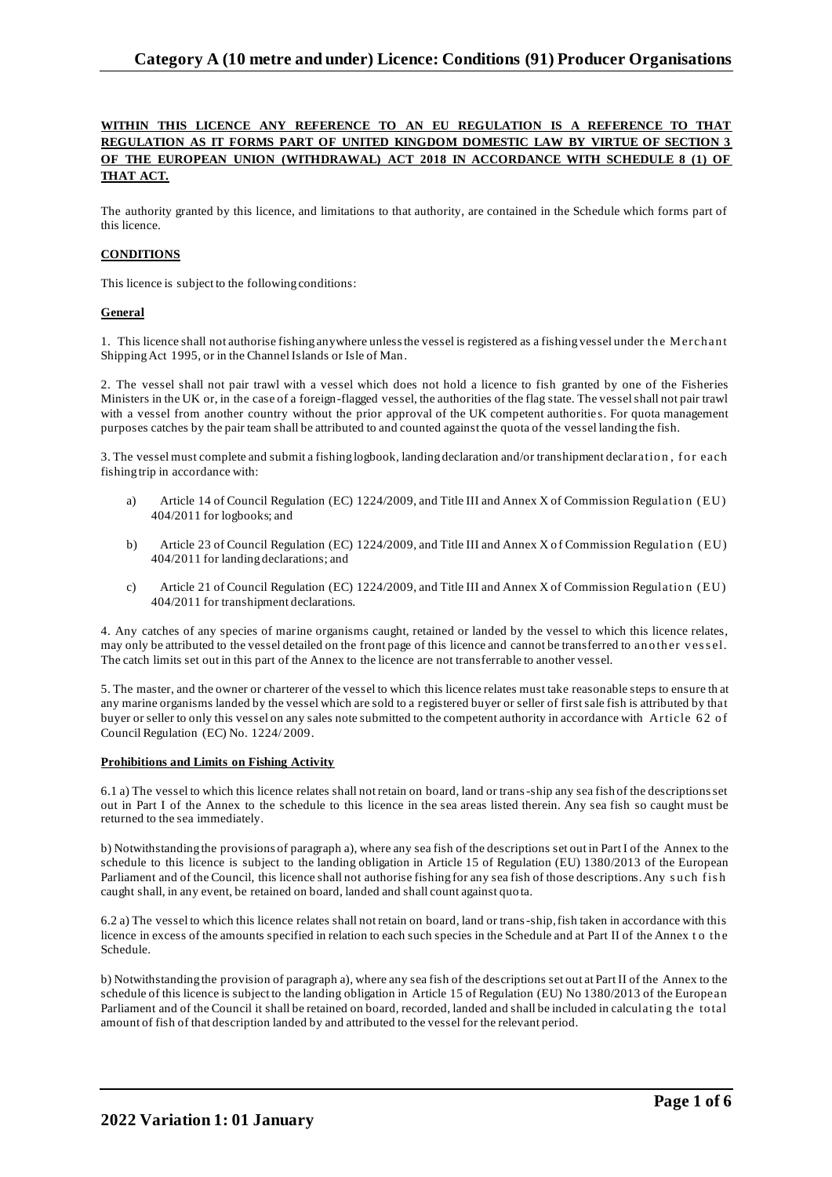# **WITHIN THIS LICENCE ANY REFERENCE TO AN EU REGULATION IS A REFERENCE TO THAT REGULATION AS IT FORMS PART OF UNITED KINGDOM DOMESTIC LAW BY VIRTUE OF SECTION 3 OF THE EUROPEAN UNION (WITHDRAWAL) ACT 2018 IN ACCORDANCE WITH SCHEDULE 8 (1) OF THAT ACT.**

The authority granted by this licence, and limitations to that authority, are contained in the Schedule which forms part of this licence.

# **CONDITIONS**

This licence is subject to the following conditions:

### **General**

1. This licence shall not authorise fishing anywhere unless the vessel is registered as a fishing vessel under the Merchant Shipping Act 1995, or in the Channel Islands or Isle of Man.

2. The vessel shall not pair trawl with a vessel which does not hold a licence to fish granted by one of the Fisheries Ministers in the UK or, in the case of a foreign-flagged vessel, the authorities of the flag state. The vessel shall not pair trawl with a vessel from another country without the prior approval of the UK competent authorities. For quota management purposes catches by the pair team shall be attributed to and counted against the quota of the vessel landing the fish.

3. The vessel must complete and submit a fishing logbook, landing declaration and/or transhipment declaration, for each fishing trip in accordance with:

- a) Article 14 of Council Regulation (EC) 1224/2009, and Title III and Annex X of Commission Regulation (EU) 404/2011 for logbooks; and
- b) Article 23 of Council Regulation (EC) 1224/2009, and Title III and Annex X of Commission Regulation (EU) 404/2011 for landing declarations; and
- c) Article 21 of Council Regulation (EC) 1224/2009, and Title III and Annex X of Commission Regulation (EU) 404/2011 for transhipment declarations.

4. Any catches of any species of marine organisms caught, retained or landed by the vessel to which this licence relates, may only be attributed to the vessel detailed on the front page of this licence and cannot be transferred to another vessel. The catch limits set out in this part of the Annex to the licence are not transferrable to another vessel.

5. The master, and the owner or charterer of the vessel to which this licence relates must take reasonable steps to ensure th at any marine organisms landed by the vessel which are sold to a registered buyer or seller of first sale fish is attributed by that buyer or seller to only this vessel on any sales note submitted to the competent authority in accordance with Article 62 of Council Regulation (EC) No. 1224/ 2009.

### **Prohibitions and Limits on Fishing Activity**

6.1 a) The vessel to which this licence relates shall not retain on board, land or trans-ship any sea fish of the descriptions set out in Part I of the Annex to the schedule to this licence in the sea areas listed therein. Any sea fish so caught must be returned to the sea immediately.

b) Notwithstanding the provisions of paragraph a), where any sea fish of the descriptions set out in Part I of the Annex to the schedule to this licence is subject to the landing obligation in Article 15 of Regulation (EU) 1380/2013 of the European Parliament and of the Council, this licence shall not authorise fishing for any sea fish of those descriptions. Any such fish caught shall, in any event, be retained on board, landed and shall count against quo ta.

6.2 a) The vessel to which this licence relates shall not retain on board, land or trans-ship, fish taken in accordance with this licence in excess of the amounts specified in relation to each such species in the Schedule and at Part II of the Annex to the Schedule.

b) Notwithstanding the provision of paragraph a), where any sea fish of the descriptions set out at Part II of the Annex to the schedule of this licence is subject to the landing obligation in Article 15 of Regulation (EU) No 1380/2013 of the European Parliament and of the Council it shall be retained on board, recorded, landed and shall be included in calculating the total amount of fish of that description landed by and attributed to the vessel for the relevant period.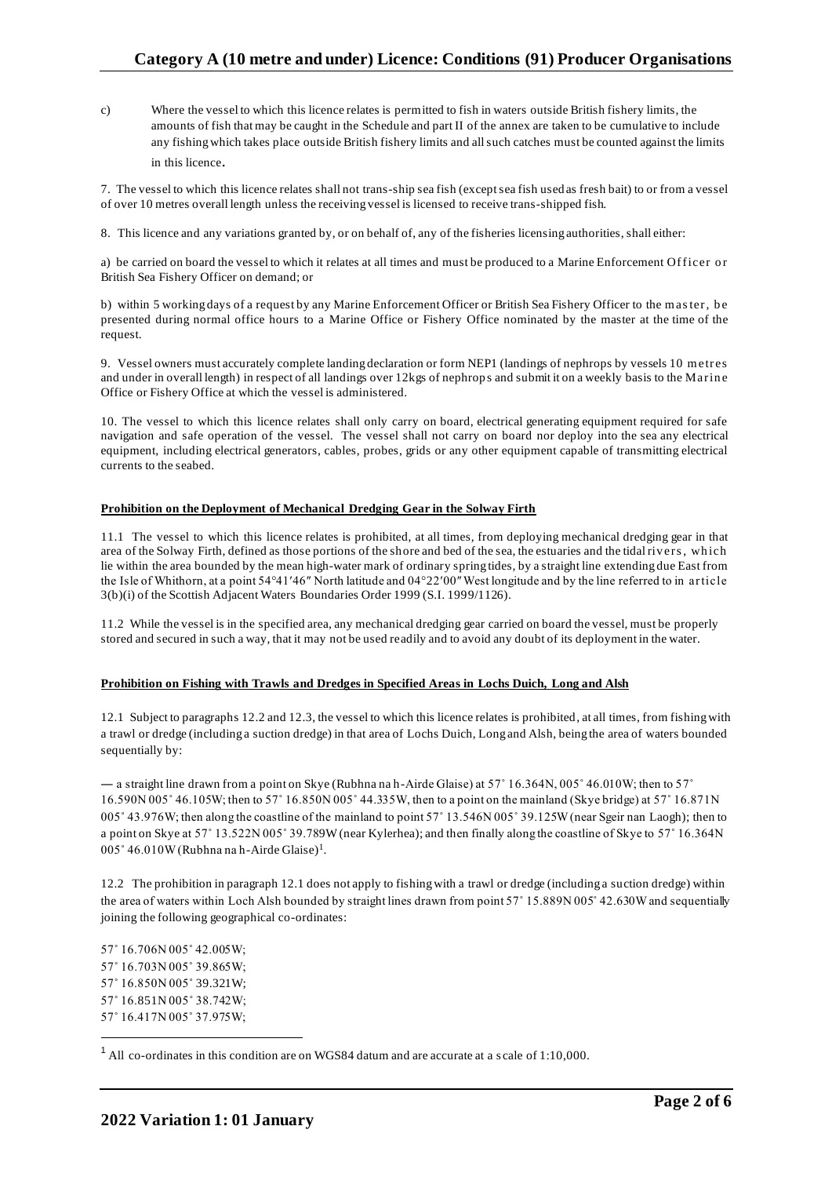c) Where the vessel to which this licence relates is permitted to fish in waters outside British fishery limits, the amounts of fish that may be caught in the Schedule and part II of the annex are taken to be cumulative to include any fishing which takes place outside British fishery limits and all such catches must be counted against the limits in this licence.

7. The vessel to which this licence relates shall not trans-ship sea fish (except sea fish used as fresh bait) to or from a vessel of over 10 metres overall length unless the receiving vessel is licensed to receive trans-shipped fish.

8. This licence and any variations granted by, or on behalf of, any of the fisheries licensing authorities, shall either:

a) be carried on board the vessel to which it relates at all times and must be produced to a Marine Enforcement Officer or British Sea Fishery Officer on demand; or

b) within 5 working days of a request by any Marine Enforcement Officer or British Sea Fishery Officer to the master, be presented during normal office hours to a Marine Office or Fishery Office nominated by the master at the time of the request.

9. Vessel owners must accurately complete landing declaration or form NEP1 (landings of nephrops by vessels 10 m etres and under in overall length) in respect of all landings over 12kgs of nephrops and submit it on a weekly basis to the Marine Office or Fishery Office at which the vessel is administered.

10. The vessel to which this licence relates shall only carry on board, electrical generating equipment required for safe navigation and safe operation of the vessel. The vessel shall not carry on board nor deploy into the sea any electrical equipment, including electrical generators, cables, probes, grids or any other equipment capable of transmitting electrical currents to the seabed.

### **Prohibition on the Deployment of Mechanical Dredging Gear in the Solway Firth**

11.1 The vessel to which this licence relates is prohibited, at all times, from deploying mechanical dredging gear in that area of the Solway Firth, defined as those portions of the shore and bed of the sea, the estuaries and the tidal riv ers , wh ich lie within the area bounded by the mean high-water mark of ordinary spring tides, by a straight line extending due East from the Isle of Whithorn, at a point 54°41′46″ North latitude and 04°22′00″ West longitude and by the line referred to in article 3(b)(i) of the Scottish Adjacent Waters Boundaries Order 1999 (S.I. 1999/1126).

11.2 While the vessel is in the specified area, any mechanical dredging gear carried on board the vessel, must be properly stored and secured in such a way, that it may not be used readily and to avoid any doubt of its deployment in the water.

### **Prohibition on Fishing with Trawls and Dredges in Specified Areas in Lochs Duich, Long and Alsh**

12.1 Subject to paragraphs 12.2 and 12.3, the vessel to which this licence relates is prohibited, at all times, from fishing with a trawl or dredge (including a suction dredge) in that area of Lochs Duich, Long and Alsh, being the area of waters bounded sequentially by:

— a straight line drawn from a point on Skye (Rubhna na h-Airde Glaise) at  $57^\circ$  16.364N, 005° 46.010W; then to  $57^\circ$ 16.590N 005˚ 46.105W; then to 57˚ 16.850N 005˚ 44.335W, then to a point on the mainland (Skye bridge) at 57˚ 16.871N 005˚ 43.976W; then along the coastline of the mainland to point 57˚ 13.546N 005˚ 39.125W (near Sgeir nan Laogh); then to a point on Skye at 57˚ 13.522N 005˚ 39.789W (near Kylerhea); and then finally along the coastline of Skye to 57˚ 16.364N 005° 46.010W (Rubhna na h-Airde Glaise)<sup>1</sup>.

12.2 The prohibition in paragraph 12.1 does not apply to fishing with a trawl or dredge (including a suction dredge) within the area of waters within Loch Alsh bounded by straight lines drawn from point 57˚ 15.889N 005˚ 42.630W and sequentially joining the following geographical co-ordinates:

57˚ 16.706N 005˚ 42.005W; 57˚ 16.703N 005˚ 39.865W; 57˚ 16.850N 005˚ 39.321W; 57˚ 16.851N 005˚ 38.742W; 57˚ 16.417N 005˚ 37.975W;

<sup>&</sup>lt;sup>1</sup> All co-ordinates in this condition are on WGS84 datum and are accurate at a scale of 1:10,000.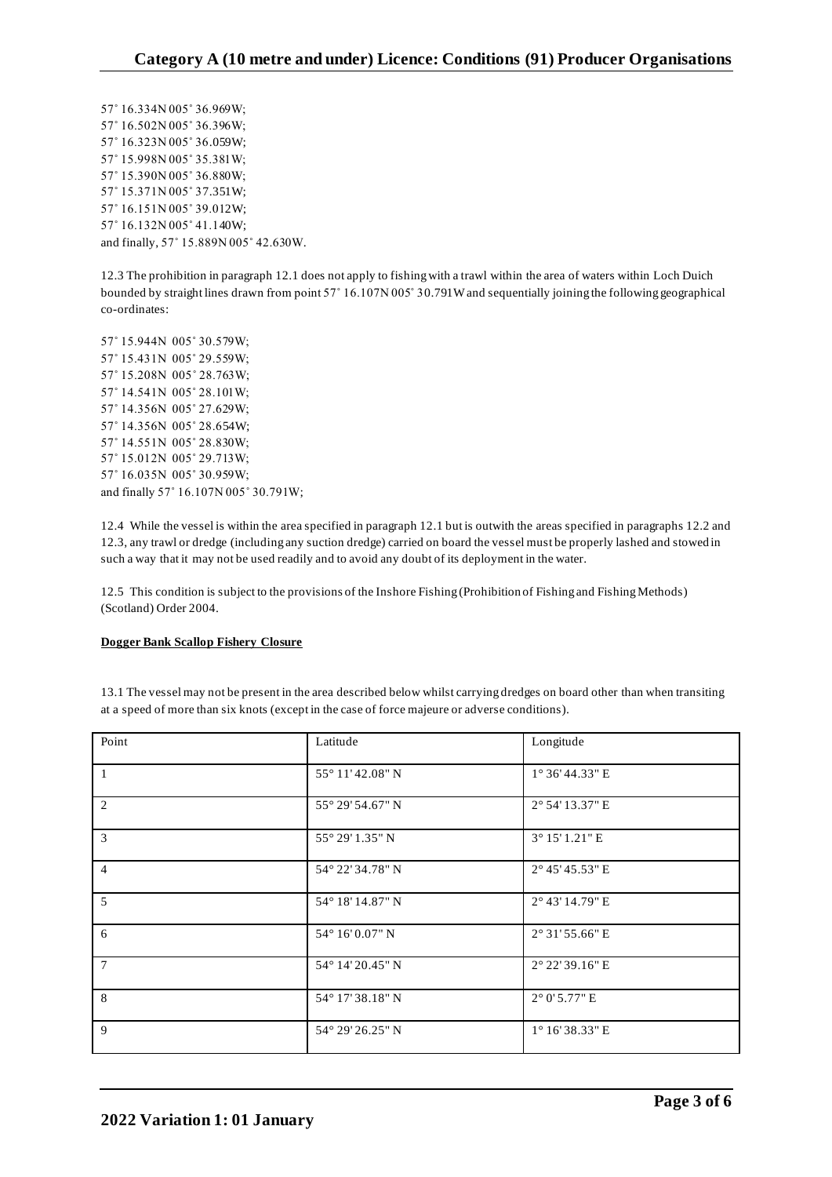57˚ 16.334N 005˚ 36.969W; 57˚ 16.502N 005˚ 36.396W; 57˚ 16.323N 005˚ 36.059W; 57˚ 15.998N 005˚ 35.381W; 57˚ 15.390N 005˚ 36.880W; 57˚ 15.371N 005˚ 37.351W; 57˚ 16.151N 005˚ 39.012W; 57˚ 16.132N 005˚ 41.140W; and finally, 57˚ 15.889N 005˚ 42.630W.

12.3 The prohibition in paragraph 12.1 does not apply to fishing with a trawl within the area of waters within Loch Duich bounded by straight lines drawn from point 57˚ 16.107N 005˚ 30.791W and sequentially joining the following geographical co-ordinates:

57˚ 15.944N 005˚ 30.579W; 57˚ 15.431N 005˚ 29.559W; 57˚ 15.208N 005˚ 28.763W; 57˚ 14.541N 005˚ 28.101W; 57˚ 14.356N 005˚ 27.629W; 57˚ 14.356N 005˚ 28.654W; 57˚ 14.551N 005˚ 28.830W; 57˚ 15.012N 005˚ 29.713W; 57˚ 16.035N 005˚ 30.959W; and finally 57˚ 16.107N 005˚ 30.791W;

12.4 While the vessel is within the area specified in paragraph 12.1 but is outwith the areas specified in paragraphs 12.2 and 12.3, any trawl or dredge (including any suction dredge) carried on board the vessel must be properly lashed and stowed in such a way that it may not be used readily and to avoid any doubt of its deployment in the water.

12.5 This condition is subject to the provisions of the Inshore Fishing (Prohibition of Fishing and Fishing Methods) (Scotland) Order 2004.

## **Dogger Bank Scallop Fishery Closure**

13.1 The vessel may not be present in the area described below whilst carrying dredges on board other than when transiting at a speed of more than six knots (except in the case of force majeure or adverse conditions).

| Point          | Latitude         | Longitude                |
|----------------|------------------|--------------------------|
| $\overline{1}$ | 55° 11'42.08" N  | $1^{\circ}$ 36' 44.33" E |
| 2              | 55° 29′ 54.67" N | 2° 54' 13.37" E          |
| $\overline{3}$ | 55° 29′ 1.35″ N  | 3° 15' 1.21" E           |
| $\overline{4}$ | 54° 22' 34.78" N | 2° 45' 45.53" E          |
| 5              | 54° 18' 14.87" N | 2° 43' 14.79" E          |
| 6              | 54° 16' 0.07" N  | 2° 31' 55.66" E          |
| $\overline{7}$ | 54° 14' 20.45" N | 2° 22' 39.16" E          |
| 8              | 54° 17' 38.18" N | $2^{\circ}$ 0' 5.77" E   |
| 9              | 54° 29' 26.25" N | 1° 16' 38.33" E          |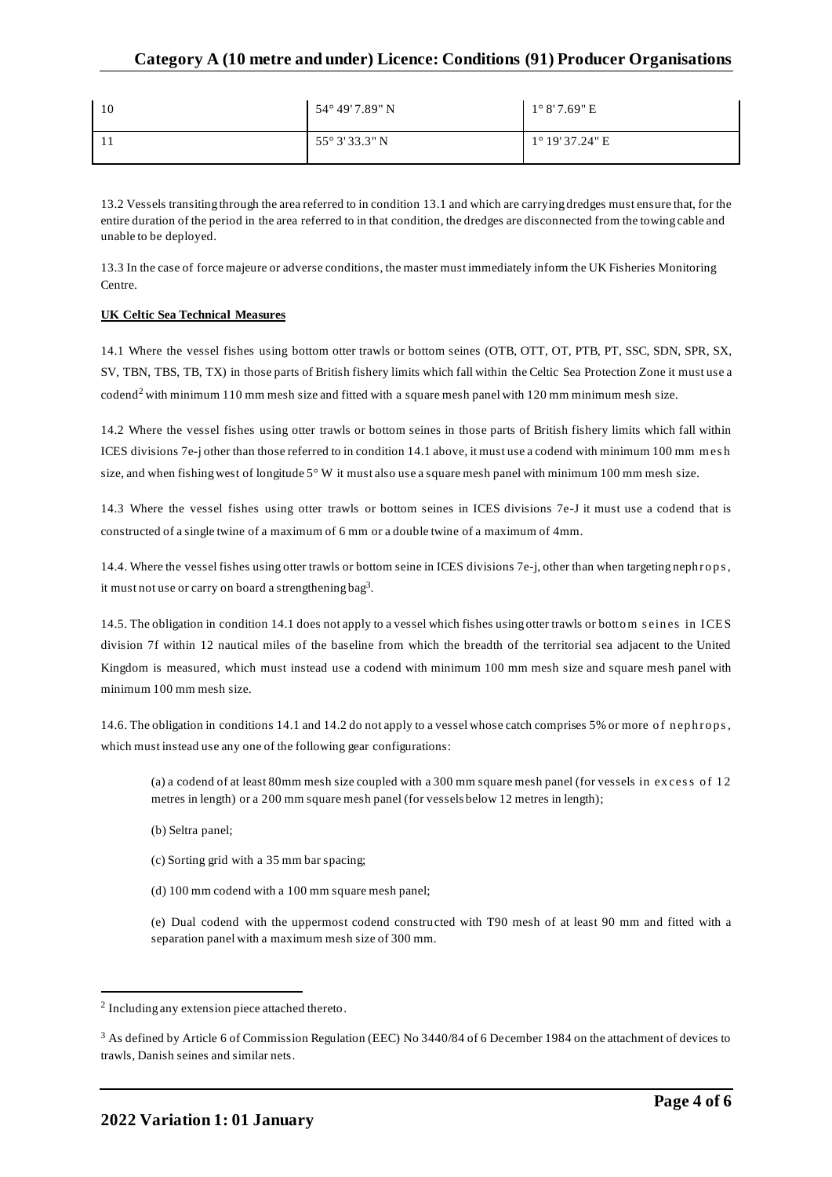| 10 | 54° 49' 7.89" N         | $1^{\circ} 8'$ 7.69" E   |
|----|-------------------------|--------------------------|
|    | $55^{\circ}$ 3' 33.3" N | $1^{\circ}$ 19' 37.24" E |

13.2 Vessels transiting through the area referred to in condition 13.1 and which are carrying dredges must ensure that, for the entire duration of the period in the area referred to in that condition, the dredges are disconnected from the towing cable and unable to be deployed.

13.3 In the case of force majeure or adverse conditions, the master must immediately inform the UK Fisheries Monitoring Centre.

### **UK Celtic Sea Technical Measures**

14.1 Where the vessel fishes using bottom otter trawls or bottom seines (OTB, OTT, OT, PTB, PT, SSC, SDN, SPR, SX, SV, TBN, TBS, TB, TX) in those parts of British fishery limits which fall within the Celtic Sea Protection Zone it must use a codend<sup>2</sup> with minimum 110 mm mesh size and fitted with a square mesh panel with 120 mm minimum mesh size.

14.2 Where the vessel fishes using otter trawls or bottom seines in those parts of British fishery limits which fall within ICES divisions 7e-j other than those referred to in condition 14.1 above, it must use a codend with minimum 100 mm mesh size, and when fishing west of longitude  $5^{\circ}$  W it must also use a square mesh panel with minimum 100 mm mesh size.

14.3 Where the vessel fishes using otter trawls or bottom seines in ICES divisions 7e-J it must use a codend that is constructed of a single twine of a maximum of 6 mm or a double twine of a maximum of 4mm.

14.4. Where the vessel fishes using otter trawls or bottom seine in ICES divisions 7e-j, other than when targeting nephrops, it must not use or carry on board a strengthening bag<sup>3</sup>.

14.5. The obligation in condition 14.1 does not apply to a vessel which fishes using otter trawls or bottom seines in ICES division 7f within 12 nautical miles of the baseline from which the breadth of the territorial sea adjacent to the United Kingdom is measured, which must instead use a codend with minimum 100 mm mesh size and square mesh panel with minimum 100 mm mesh size.

14.6. The obligation in conditions 14.1 and 14.2 do not apply to a vessel whose catch comprises 5% or more of nephrops, which must instead use any one of the following gear configurations:

(a) a codend of at least 80mm mesh size coupled with a 300 mm square mesh panel (for vessels in excess of  $12$ metres in length) or a 200 mm square mesh panel (for vessels below 12 metres in length);

- (b) Seltra panel;
- (c) Sorting grid with a 35 mm bar spacing;
- (d) 100 mm codend with a 100 mm square mesh panel;

(e) Dual codend with the uppermost codend constructed with T90 mesh of at least 90 mm and fitted with a separation panel with a maximum mesh size of 300 mm.

<sup>&</sup>lt;sup>2</sup> Including any extension piece attached thereto.

<sup>&</sup>lt;sup>3</sup> As defined by Article 6 of Commission Regulation (EEC) No 3440/84 of 6 December 1984 on the attachment of devices to trawls, Danish seines and similar nets.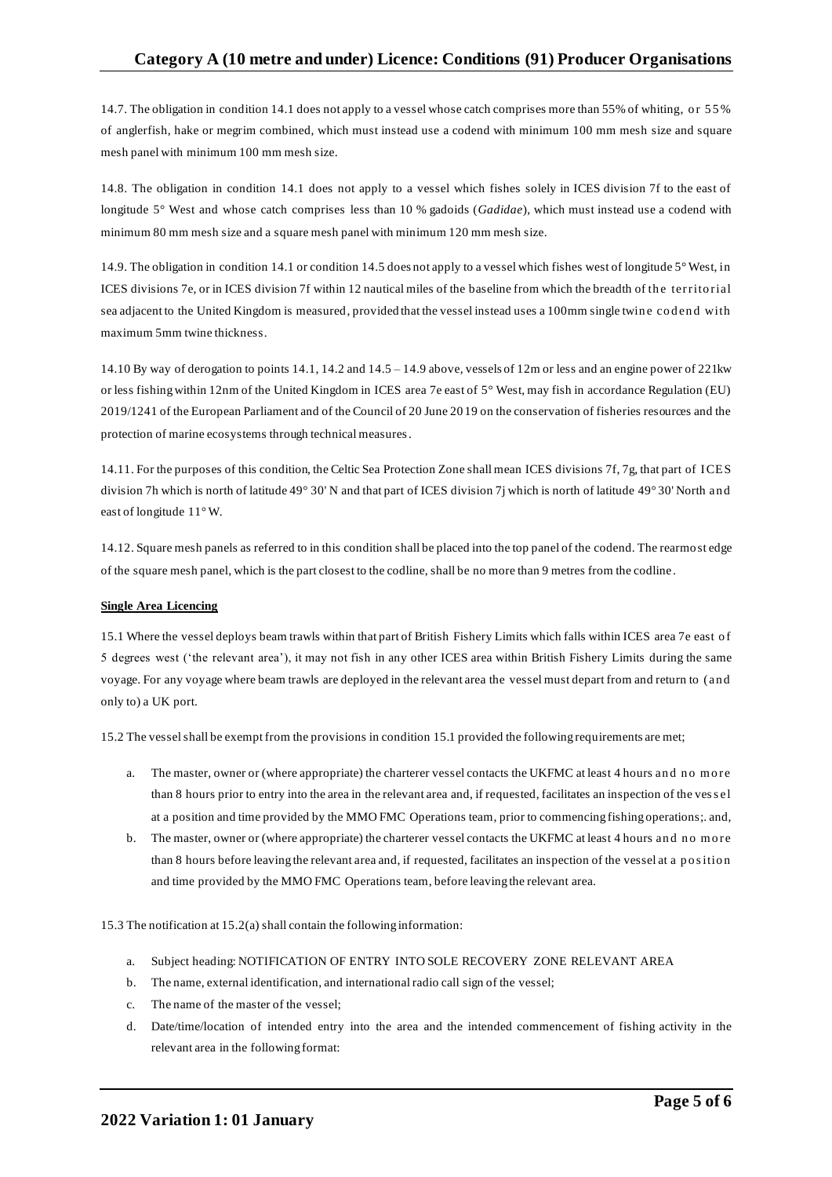14.7. The obligation in condition 14.1 does not apply to a vessel whose catch comprises more than 55% of whiting, or 55% of anglerfish, hake or megrim combined, which must instead use a codend with minimum 100 mm mesh size and square mesh panel with minimum 100 mm mesh size.

14.8. The obligation in condition 14.1 does not apply to a vessel which fishes solely in ICES division 7f to the east of longitude 5° West and whose catch comprises less than 10 % gadoids (*Gadidae*), which must instead use a codend with minimum 80 mm mesh size and a square mesh panel with minimum 120 mm mesh size.

14.9. The obligation in condition 14.1 or condition 14.5 does not apply to a vessel which fishes west of longitude 5° West, in ICES divisions 7e, or in ICES division 7f within 12 nautical miles of the baseline from which the breadth of the territorial sea adjacent to the United Kingdom is measured, provided that the vessel instead uses a 100mm single twine codend with maximum 5mm twine thickness.

14.10 By way of derogation to points 14.1, 14.2 and 14.5 – 14.9 above, vessels of 12m or less and an engine power of 221kw or less fishing within 12nm of the United Kingdom in ICES area 7e east of 5° West, may fish in accordance Regulation (EU) 2019/1241 of the European Parliament and of the Council of 20 June 20 19 on the conservation of fisheries resources and the protection of marine ecosystems through technical measures.

14.11. For the purposes of this condition, the Celtic Sea Protection Zone shall mean ICES divisions 7f, 7g, that part of ICES division 7h which is north of latitude 49° 30' N and that part of ICES division 7j which is north of latitude 49° 30' North an d east of longitude 11°W.

14.12. Square mesh panels as referred to in this condition shall be placed into the top panel of the codend. The rearmost edge of the square mesh panel, which is the part closest to the codline, shall be no more than 9 metres from the codline.

## **Single Area Licencing**

15.1 Where the vessel deploys beam trawls within that part of British Fishery Limits which falls within ICES area 7e east o f 5 degrees west ('the relevant area'), it may not fish in any other ICES area within British Fishery Limits during the same voyage. For any voyage where beam trawls are deployed in the relevant area the vessel must depart from and return to (an d only to) a UK port.

15.2 The vessel shall be exempt from the provisions in condition 15.1 provided the following requirements are met;

- a. The master, owner or (where appropriate) the charterer vessel contacts the UKFMC at least 4 hours and no more than 8 hours prior to entry into the area in the relevant area and, if requested, facilitates an inspection of the ves s el at a position and time provided by the MMO FMC Operations team, prior to commencing fishing operations;. and,
- b. The master, owner or (where appropriate) the charterer vessel contacts the UKFMC at least 4 hours and no more than 8 hours before leaving the relevant area and, if requested, facilitates an inspection of the vessel at a position and time provided by the MMO FMC Operations team, before leaving the relevant area.

15.3 The notification at 15.2(a) shall contain the following information:

- a. Subject heading: NOTIFICATION OF ENTRY INTO SOLE RECOVERY ZONE RELEVANT AREA
- b. The name, external identification, and international radio call sign of the vessel;
- c. The name of the master of the vessel;
- d. Date/time/location of intended entry into the area and the intended commencement of fishing activity in the relevant area in the following format: